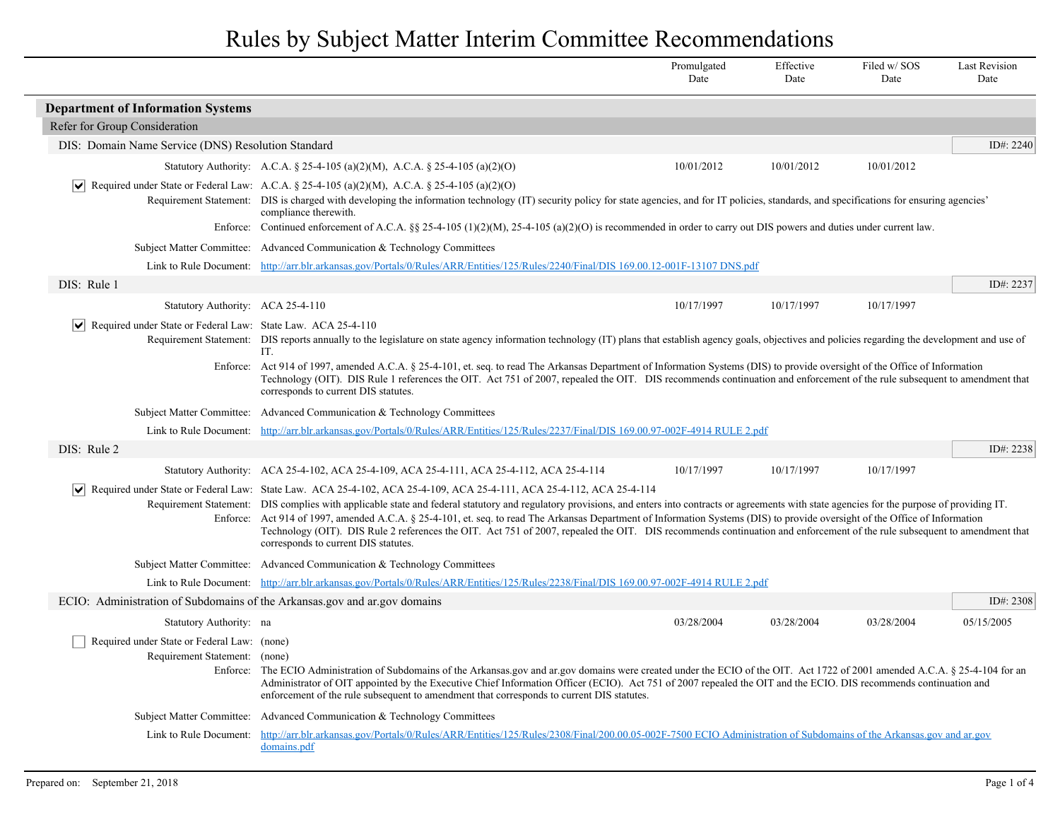|                                                                                   |                                                                                                                                                                                                                                                                                                                                                                                                                                                                                                                                                                                                                                                                                                                                     | Promulgated<br>Date | Effective<br>Date | Filed w/SOS<br>Date | <b>Last Revision</b><br>Date |
|-----------------------------------------------------------------------------------|-------------------------------------------------------------------------------------------------------------------------------------------------------------------------------------------------------------------------------------------------------------------------------------------------------------------------------------------------------------------------------------------------------------------------------------------------------------------------------------------------------------------------------------------------------------------------------------------------------------------------------------------------------------------------------------------------------------------------------------|---------------------|-------------------|---------------------|------------------------------|
| <b>Department of Information Systems</b>                                          |                                                                                                                                                                                                                                                                                                                                                                                                                                                                                                                                                                                                                                                                                                                                     |                     |                   |                     |                              |
| Refer for Group Consideration                                                     |                                                                                                                                                                                                                                                                                                                                                                                                                                                                                                                                                                                                                                                                                                                                     |                     |                   |                     |                              |
| DIS: Domain Name Service (DNS) Resolution Standard                                |                                                                                                                                                                                                                                                                                                                                                                                                                                                                                                                                                                                                                                                                                                                                     |                     |                   |                     | ID#: 2240                    |
|                                                                                   | Statutory Authority: A.C.A. § 25-4-105 (a)(2)(M), A.C.A. § 25-4-105 (a)(2)(O)                                                                                                                                                                                                                                                                                                                                                                                                                                                                                                                                                                                                                                                       | 10/01/2012          | 10/01/2012        | 10/01/2012          |                              |
|                                                                                   | $ \mathbf{v} $ Required under State or Federal Law: A.C.A. § 25-4-105 (a)(2)(M), A.C.A. § 25-4-105 (a)(2)(O)<br>Requirement Statement: DIS is charged with developing the information technology (IT) security policy for state agencies, and for IT policies, standards, and specifications for ensuring agencies'<br>compliance therewith.                                                                                                                                                                                                                                                                                                                                                                                        |                     |                   |                     |                              |
|                                                                                   | Enforce: Continued enforcement of A.C.A. §§ 25-4-105 (1)(2)(M), 25-4-105 (a)(2)(O) is recommended in order to carry out DIS powers and duties under current law.                                                                                                                                                                                                                                                                                                                                                                                                                                                                                                                                                                    |                     |                   |                     |                              |
|                                                                                   | Subject Matter Committee: Advanced Communication & Technology Committees                                                                                                                                                                                                                                                                                                                                                                                                                                                                                                                                                                                                                                                            |                     |                   |                     |                              |
|                                                                                   | Link to Rule Document: http://arr.blr.arkansas.gov/Portals/0/Rules/ARR/Entities/125/Rules/2240/Final/DIS 169.00.12-001F-13107 DNS.pdf                                                                                                                                                                                                                                                                                                                                                                                                                                                                                                                                                                                               |                     |                   |                     |                              |
| DIS: Rule 1                                                                       |                                                                                                                                                                                                                                                                                                                                                                                                                                                                                                                                                                                                                                                                                                                                     |                     |                   |                     | ID#: 2237                    |
| Statutory Authority: ACA 25-4-110                                                 |                                                                                                                                                                                                                                                                                                                                                                                                                                                                                                                                                                                                                                                                                                                                     | 10/17/1997          | 10/17/1997        | 10/17/1997          |                              |
| $ \mathbf{v} $ Required under State or Federal Law: State Law. ACA 25-4-110       | Requirement Statement: DIS reports annually to the legislature on state agency information technology (IT) plans that establish agency goals, objectives and policies regarding the development and use of<br>IT.                                                                                                                                                                                                                                                                                                                                                                                                                                                                                                                   |                     |                   |                     |                              |
|                                                                                   | Enforce: Act 914 of 1997, amended A.C.A. § 25-4-101, et. seq. to read The Arkansas Department of Information Systems (DIS) to provide oversight of the Office of Information<br>Technology (OIT). DIS Rule 1 references the OIT. Act 751 of 2007, repealed the OIT. DIS recommends continuation and enforcement of the rule subsequent to amendment that<br>corresponds to current DIS statutes.                                                                                                                                                                                                                                                                                                                                    |                     |                   |                     |                              |
|                                                                                   | Subject Matter Committee: Advanced Communication & Technology Committees                                                                                                                                                                                                                                                                                                                                                                                                                                                                                                                                                                                                                                                            |                     |                   |                     |                              |
|                                                                                   | Link to Rule Document: http://arr.blr.arkansas.gov/Portals/0/Rules/ARR/Entities/125/Rules/2237/Final/DIS 169.00.97-002F-4914 RULE 2.pdf                                                                                                                                                                                                                                                                                                                                                                                                                                                                                                                                                                                             |                     |                   |                     |                              |
| DIS: Rule 2                                                                       |                                                                                                                                                                                                                                                                                                                                                                                                                                                                                                                                                                                                                                                                                                                                     |                     |                   |                     | ID#: $2238$                  |
|                                                                                   | Statutory Authority: ACA 25-4-102, ACA 25-4-109, ACA 25-4-111, ACA 25-4-112, ACA 25-4-114                                                                                                                                                                                                                                                                                                                                                                                                                                                                                                                                                                                                                                           | 10/17/1997          | 10/17/1997        | 10/17/1997          |                              |
| $ \bm{\mathsf{v}} $                                                               | Required under State or Federal Law: State Law. ACA 25-4-102, ACA 25-4-109, ACA 25-4-111, ACA 25-4-112, ACA 25-4-114<br>Requirement Statement: DIS complies with applicable state and federal statutory and regulatory provisions, and enters into contracts or agreements with state agencies for the purpose of providing IT.<br>Enforce: Act 914 of 1997, amended A.C.A. § 25-4-101, et. seq. to read The Arkansas Department of Information Systems (DIS) to provide oversight of the Office of Information<br>Technology (OIT). DIS Rule 2 references the OIT. Act 751 of 2007, repealed the OIT. DIS recommends continuation and enforcement of the rule subsequent to amendment that<br>corresponds to current DIS statutes. |                     |                   |                     |                              |
|                                                                                   | Subject Matter Committee: Advanced Communication & Technology Committees                                                                                                                                                                                                                                                                                                                                                                                                                                                                                                                                                                                                                                                            |                     |                   |                     |                              |
|                                                                                   | Link to Rule Document: http://arr.blr.arkansas.gov/Portals/0/Rules/ARR/Entities/125/Rules/2238/Final/DIS 169.00.97-002F-4914 RULE 2.pdf                                                                                                                                                                                                                                                                                                                                                                                                                                                                                                                                                                                             |                     |                   |                     |                              |
| ECIO: Administration of Subdomains of the Arkansas gov and ar gov domains         |                                                                                                                                                                                                                                                                                                                                                                                                                                                                                                                                                                                                                                                                                                                                     |                     |                   |                     | ID#: $2308$                  |
| Statutory Authority: na                                                           |                                                                                                                                                                                                                                                                                                                                                                                                                                                                                                                                                                                                                                                                                                                                     | 03/28/2004          | 03/28/2004        | 03/28/2004          | 05/15/2005                   |
| Required under State or Federal Law: (none)<br>Requirement Statement:<br>Enforce: | (none)<br>The ECIO Administration of Subdomains of the Arkansas gov and ar gov domains were created under the ECIO of the OIT. Act 1722 of 2001 amended A.C.A. § 25-4-104 for an<br>Administrator of OIT appointed by the Executive Chief Information Officer (ECIO). Act 751 of 2007 repealed the OIT and the ECIO. DIS recommends continuation and<br>enforcement of the rule subsequent to amendment that corresponds to current DIS statutes.                                                                                                                                                                                                                                                                                   |                     |                   |                     |                              |
|                                                                                   | Subject Matter Committee: Advanced Communication & Technology Committees                                                                                                                                                                                                                                                                                                                                                                                                                                                                                                                                                                                                                                                            |                     |                   |                     |                              |
| Link to Rule Document:                                                            | http://arr.blr.arkansas.gov/Portals/0/Rules/ARR/Entities/125/Rules/2308/Final/200.00.05-002F-7500 ECIO Administration of Subdomains of the Arkansas.gov and ar.gov<br>domains.pdf                                                                                                                                                                                                                                                                                                                                                                                                                                                                                                                                                   |                     |                   |                     |                              |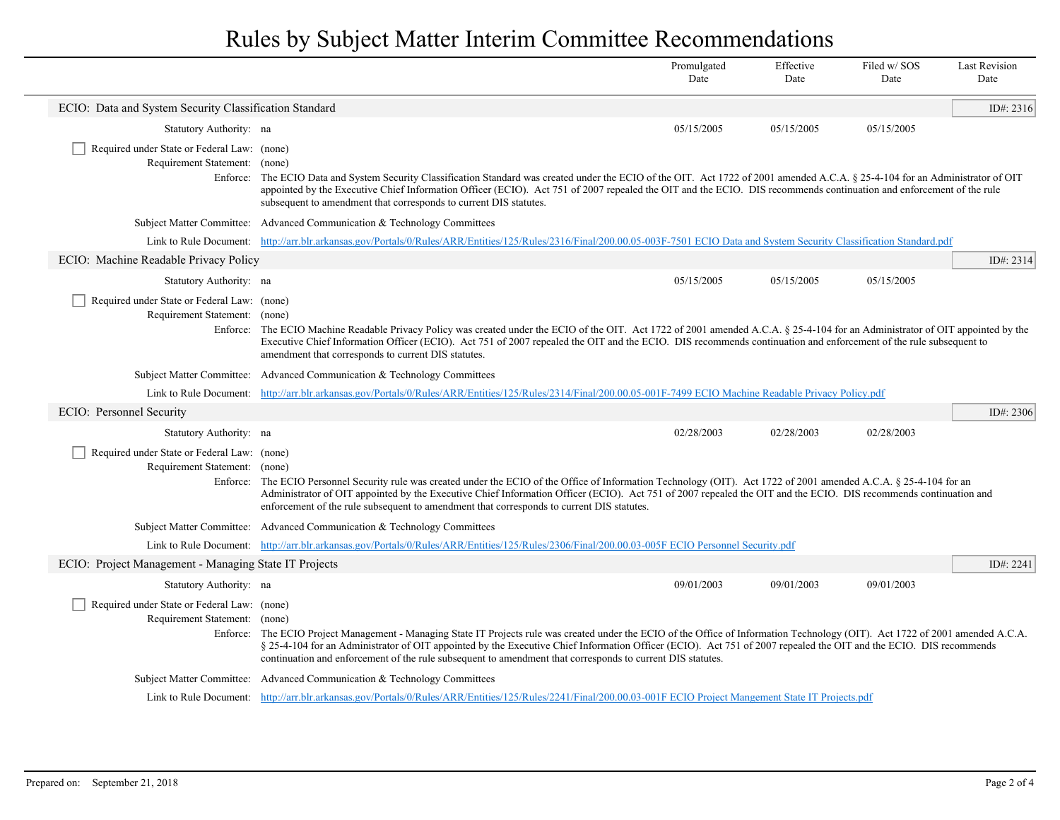|                                                                              |                                                                                                                                                                                                                                                                                                                                                                                                                                                                     | Promulgated<br>Date | Effective<br>Date | Filed w/SOS<br>Date | <b>Last Revision</b><br>Date |
|------------------------------------------------------------------------------|---------------------------------------------------------------------------------------------------------------------------------------------------------------------------------------------------------------------------------------------------------------------------------------------------------------------------------------------------------------------------------------------------------------------------------------------------------------------|---------------------|-------------------|---------------------|------------------------------|
| ECIO: Data and System Security Classification Standard                       |                                                                                                                                                                                                                                                                                                                                                                                                                                                                     |                     |                   |                     | ID#: $2316$                  |
| Statutory Authority: na                                                      |                                                                                                                                                                                                                                                                                                                                                                                                                                                                     | 05/15/2005          | 05/15/2005        | 05/15/2005          |                              |
| Required under State or Federal Law: (none)<br>Requirement Statement: (none) | Enforce: The ECIO Data and System Security Classification Standard was created under the ECIO of the OIT. Act 1722 of 2001 amended A.C.A. § 25-4-104 for an Administrator of OIT<br>appointed by the Executive Chief Information Officer (ECIO). Act 751 of 2007 repealed the OIT and the ECIO. DIS recommends continuation and enforcement of the rule<br>subsequent to amendment that corresponds to current DIS statutes.                                        |                     |                   |                     |                              |
|                                                                              | Subject Matter Committee: Advanced Communication & Technology Committees                                                                                                                                                                                                                                                                                                                                                                                            |                     |                   |                     |                              |
|                                                                              | Link to Rule Document: http://arr.blr.arkansas.gov/Portals/0/Rules/ARR/Entities/125/Rules/2316/Final/200.00.05-003F-7501 ECIO Data and System Security Classification Standard.pdf                                                                                                                                                                                                                                                                                  |                     |                   |                     |                              |
| ECIO: Machine Readable Privacy Policy                                        |                                                                                                                                                                                                                                                                                                                                                                                                                                                                     |                     |                   |                     | ID#: 2314                    |
| Statutory Authority: na                                                      |                                                                                                                                                                                                                                                                                                                                                                                                                                                                     | 05/15/2005          | 05/15/2005        | 05/15/2005          |                              |
| Required under State or Federal Law: (none)<br>Requirement Statement: (none) | Enforce: The ECIO Machine Readable Privacy Policy was created under the ECIO of the OIT. Act 1722 of 2001 amended A.C.A. § 25-4-104 for an Administrator of OIT appointed by the<br>Executive Chief Information Officer (ECIO). Act 751 of 2007 repealed the OIT and the ECIO. DIS recommends continuation and enforcement of the rule subsequent to<br>amendment that corresponds to current DIS statutes.                                                         |                     |                   |                     |                              |
|                                                                              | Subject Matter Committee: Advanced Communication & Technology Committees                                                                                                                                                                                                                                                                                                                                                                                            |                     |                   |                     |                              |
|                                                                              | Link to Rule Document: http://arr.blr.arkansas.gov/Portals/0/Rules/ARR/Entities/125/Rules/2314/Final/200.00.05-001F-7499 ECIO Machine Readable Privacy Policy.pdf                                                                                                                                                                                                                                                                                                   |                     |                   |                     |                              |
| ECIO: Personnel Security                                                     |                                                                                                                                                                                                                                                                                                                                                                                                                                                                     |                     |                   |                     | ID#: 2306                    |
| Statutory Authority: na                                                      |                                                                                                                                                                                                                                                                                                                                                                                                                                                                     | 02/28/2003          | 02/28/2003        | 02/28/2003          |                              |
| Required under State or Federal Law: (none)<br>Requirement Statement: (none) | Enforce: The ECIO Personnel Security rule was created under the ECIO of the Office of Information Technology (OIT). Act 1722 of 2001 amended A.C.A. § 25-4-104 for an<br>Administrator of OIT appointed by the Executive Chief Information Officer (ECIO). Act 751 of 2007 repealed the OIT and the ECIO. DIS recommends continuation and<br>enforcement of the rule subsequent to amendment that corresponds to current DIS statutes.                              |                     |                   |                     |                              |
|                                                                              | Subject Matter Committee: Advanced Communication & Technology Committees                                                                                                                                                                                                                                                                                                                                                                                            |                     |                   |                     |                              |
|                                                                              | Link to Rule Document: http://arr.blr.arkansas.gov/Portals/0/Rules/ARR/Entities/125/Rules/2306/Final/200.00.03-005F ECIO Personnel Security.pdf                                                                                                                                                                                                                                                                                                                     |                     |                   |                     |                              |
| ECIO: Project Management - Managing State IT Projects                        |                                                                                                                                                                                                                                                                                                                                                                                                                                                                     |                     |                   |                     | ID#: 2241                    |
| Statutory Authority: na                                                      |                                                                                                                                                                                                                                                                                                                                                                                                                                                                     | 09/01/2003          | 09/01/2003        | 09/01/2003          |                              |
| Required under State or Federal Law: (none)<br>Requirement Statement: (none) | Enforce: The ECIO Project Management - Managing State IT Projects rule was created under the ECIO of the Office of Information Technology (OIT). Act 1722 of 2001 amended A.C.A.<br>§ 25-4-104 for an Administrator of OIT appointed by the Executive Chief Information Officer (ECIO). Act 751 of 2007 repealed the OIT and the ECIO. DIS recommends<br>continuation and enforcement of the rule subsequent to amendment that corresponds to current DIS statutes. |                     |                   |                     |                              |
|                                                                              | Subject Matter Committee: Advanced Communication & Technology Committees                                                                                                                                                                                                                                                                                                                                                                                            |                     |                   |                     |                              |
|                                                                              | Link to Rule Document: http://arr.blr.arkansas.gov/Portals/0/Rules/ARR/Entities/125/Rules/2241/Final/200.00.03-001F ECIO Project Mangement State IT Projects.pdf                                                                                                                                                                                                                                                                                                    |                     |                   |                     |                              |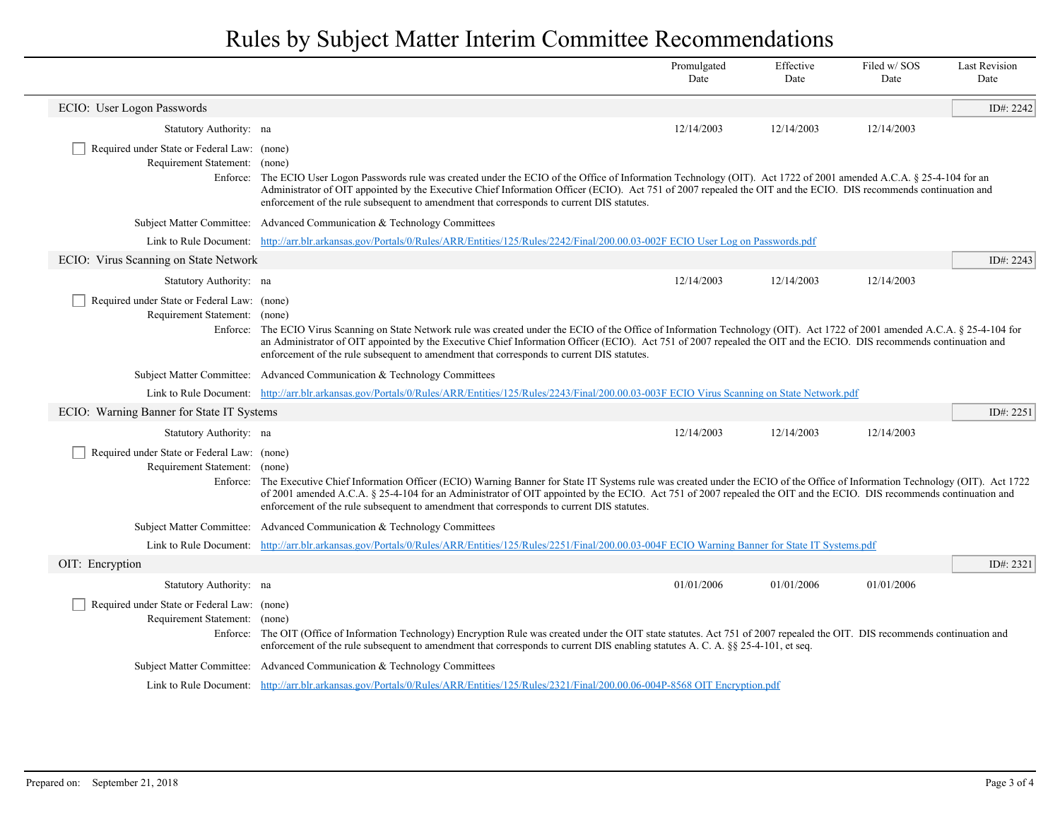|                                                                              |                                                                                                                                                                                                                                                                                                                                                                                                                                                         | Promulgated<br>Date | Effective<br>Date | Filed w/SOS<br>Date | <b>Last Revision</b><br>Date |
|------------------------------------------------------------------------------|---------------------------------------------------------------------------------------------------------------------------------------------------------------------------------------------------------------------------------------------------------------------------------------------------------------------------------------------------------------------------------------------------------------------------------------------------------|---------------------|-------------------|---------------------|------------------------------|
| ECIO: User Logon Passwords                                                   |                                                                                                                                                                                                                                                                                                                                                                                                                                                         |                     |                   |                     | ID#: 2242                    |
| Statutory Authority: na                                                      |                                                                                                                                                                                                                                                                                                                                                                                                                                                         | 12/14/2003          | 12/14/2003        | 12/14/2003          |                              |
| Required under State or Federal Law: (none)<br>Requirement Statement: (none) | Enforce: The ECIO User Logon Passwords rule was created under the ECIO of the Office of Information Technology (OIT). Act 1722 of 2001 amended A.C.A. § 25-4-104 for an<br>Administrator of OIT appointed by the Executive Chief Information Officer (ECIO). Act 751 of 2007 repealed the OIT and the ECIO. DIS recommends continuation and<br>enforcement of the rule subsequent to amendment that corresponds to current DIS statutes.                |                     |                   |                     |                              |
|                                                                              | Subject Matter Committee: Advanced Communication & Technology Committees                                                                                                                                                                                                                                                                                                                                                                                |                     |                   |                     |                              |
|                                                                              | Link to Rule Document: http://arr.blr.arkansas.gov/Portals/0/Rules/ARR/Entities/125/Rules/2242/Final/200.00.03-002F ECIO User Log on Passwords.pdf                                                                                                                                                                                                                                                                                                      |                     |                   |                     |                              |
| ECIO: Virus Scanning on State Network                                        |                                                                                                                                                                                                                                                                                                                                                                                                                                                         |                     |                   |                     | ID#: 2243                    |
| Statutory Authority: na                                                      |                                                                                                                                                                                                                                                                                                                                                                                                                                                         | 12/14/2003          | 12/14/2003        | 12/14/2003          |                              |
| Required under State or Federal Law: (none)<br>Requirement Statement: (none) | Enforce: The ECIO Virus Scanning on State Network rule was created under the ECIO of the Office of Information Technology (OIT). Act 1722 of 2001 amended A.C.A. § 25-4-104 for<br>an Administrator of OIT appointed by the Executive Chief Information Officer (ECIO). Act 751 of 2007 repealed the OIT and the ECIO. DIS recommends continuation and<br>enforcement of the rule subsequent to amendment that corresponds to current DIS statutes.     |                     |                   |                     |                              |
|                                                                              | Subject Matter Committee: Advanced Communication & Technology Committees                                                                                                                                                                                                                                                                                                                                                                                |                     |                   |                     |                              |
|                                                                              | Link to Rule Document: http://arr.blr.arkansas.gov/Portals/0/Rules/ARR/Entities/125/Rules/2243/Final/200.00.03-003F ECIO Virus Scanning on State Network.pdf                                                                                                                                                                                                                                                                                            |                     |                   |                     |                              |
| ECIO: Warning Banner for State IT Systems                                    |                                                                                                                                                                                                                                                                                                                                                                                                                                                         |                     |                   |                     | ID#: $2251$                  |
| Statutory Authority: na                                                      |                                                                                                                                                                                                                                                                                                                                                                                                                                                         | 12/14/2003          | 12/14/2003        | 12/14/2003          |                              |
| Required under State or Federal Law: (none)<br>Requirement Statement: (none) | Enforce: The Executive Chief Information Officer (ECIO) Warning Banner for State IT Systems rule was created under the ECIO of the Office of Information Technology (OIT). Act 1722<br>of 2001 amended A.C.A. § 25-4-104 for an Administrator of OIT appointed by the ECIO. Act 751 of 2007 repealed the OIT and the ECIO. DIS recommends continuation and<br>enforcement of the rule subsequent to amendment that corresponds to current DIS statutes. |                     |                   |                     |                              |
|                                                                              | Subject Matter Committee: Advanced Communication & Technology Committees                                                                                                                                                                                                                                                                                                                                                                                |                     |                   |                     |                              |
|                                                                              | Link to Rule Document: http://arr.blr.arkansas.gov/Portals/0/Rules/ARR/Entities/125/Rules/2251/Final/200.00.03-004F ECIO Warning Banner for State IT Systems.pdf                                                                                                                                                                                                                                                                                        |                     |                   |                     |                              |
| OIT: Encryption                                                              |                                                                                                                                                                                                                                                                                                                                                                                                                                                         |                     |                   |                     | ID#: 2321                    |
| Statutory Authority: na                                                      |                                                                                                                                                                                                                                                                                                                                                                                                                                                         | 01/01/2006          | 01/01/2006        | 01/01/2006          |                              |
| Required under State or Federal Law: (none)<br>Requirement Statement: (none) | Enforce: The OIT (Office of Information Technology) Encryption Rule was created under the OIT state statutes. Act 751 of 2007 repealed the OIT. DIS recommends continuation and<br>enforcement of the rule subsequent to amendment that corresponds to current DIS enabling statutes A. C. A. §§ 25-4-101, et seq.                                                                                                                                      |                     |                   |                     |                              |
|                                                                              | Subject Matter Committee: Advanced Communication & Technology Committees                                                                                                                                                                                                                                                                                                                                                                                |                     |                   |                     |                              |
|                                                                              | Link to Rule Document: http://arr.blr.arkansas.gov/Portals/0/Rules/ARR/Entities/125/Rules/2321/Final/200.00.06-004P-8568 OIT Encryption.pdf                                                                                                                                                                                                                                                                                                             |                     |                   |                     |                              |